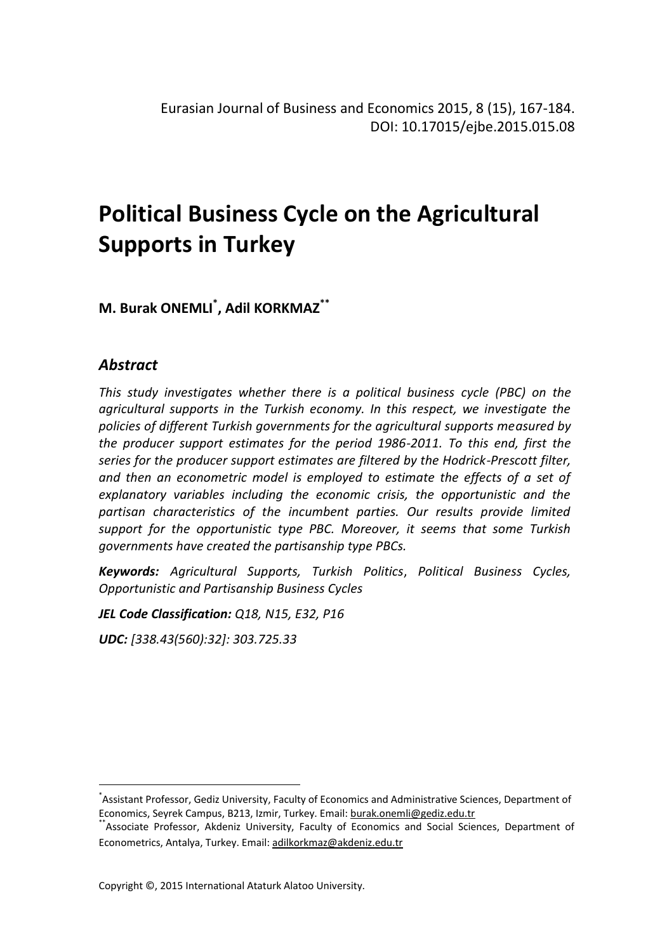# **Political Business Cycle on the Agricultural Supports in Turkey**

**M. Burak ONEMLI \* , Adil KORKMAZ\*\***

# *Abstract*

*This study investigates whether there is a political business cycle (PBC) on the agricultural supports in the Turkish economy. In this respect, we investigate the policies of different Turkish governments for the agricultural supports measured by the producer support estimates for the period 1986-2011. To this end, first the series for the producer support estimates are filtered by the Hodrick-Prescott filter, and then an econometric model is employed to estimate the effects of a set of explanatory variables including the economic crisis, the opportunistic and the partisan characteristics of the incumbent parties. Our results provide limited support for the opportunistic type PBC. Moreover, it seems that some Turkish governments have created the partisanship type PBCs.*

*Keywords: Agricultural Supports, Turkish Politics*, *Political Business Cycles, Opportunistic and Partisanship Business Cycles*

*JEL Code Classification: Q18, N15, E32, P16*

*UDC: [338.43(560):32]: 303.725.33*

 $\overline{a}$ \* Assistant Professor, Gediz University, Faculty of Economics and Administrative Sciences, Department of Economics, Seyrek Campus, B213, Izmir, Turkey. Email: burak.onemli@gediz.edu.tr

<sup>\*\*</sup>Associate Professor, Akdeniz University, Faculty of Economics and Social Sciences, Department of Econometrics, Antalya, Turkey. Email: adilkorkmaz@akdeniz.edu.tr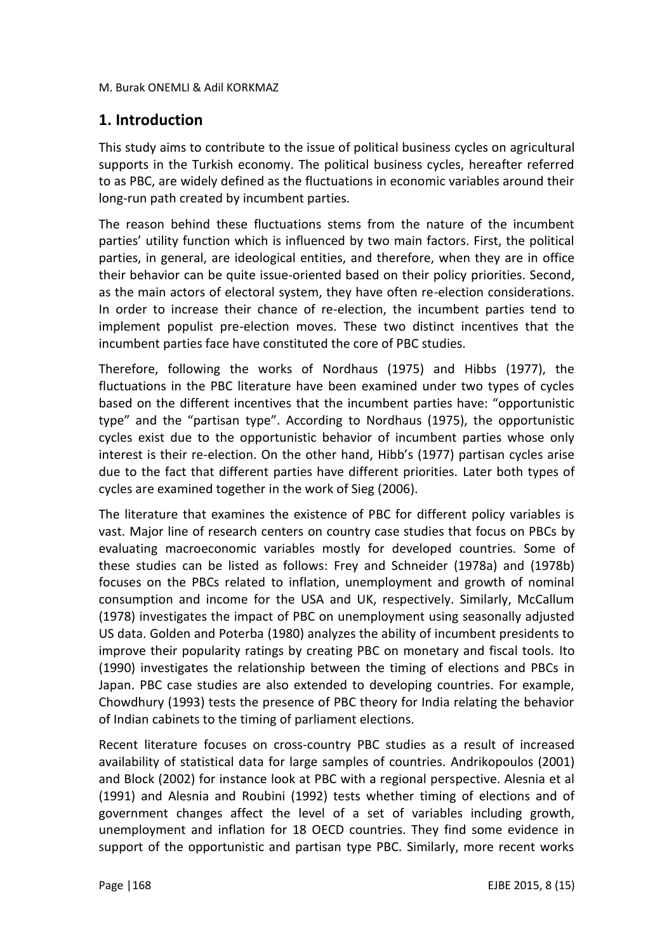# **1. Introduction**

This study aims to contribute to the issue of political business cycles on agricultural supports in the Turkish economy. The political business cycles, hereafter referred to as PBC, are widely defined as the fluctuations in economic variables around their long-run path created by incumbent parties.

The reason behind these fluctuations stems from the nature of the incumbent parties' utility function which is influenced by two main factors. First, the political parties, in general, are ideological entities, and therefore, when they are in office their behavior can be quite issue-oriented based on their policy priorities. Second, as the main actors of electoral system, they have often re-election considerations. In order to increase their chance of re-election, the incumbent parties tend to implement populist pre-election moves. These two distinct incentives that the incumbent parties face have constituted the core of PBC studies.

Therefore, following the works of Nordhaus (1975) and Hibbs (1977), the fluctuations in the PBC literature have been examined under two types of cycles based on the different incentives that the incumbent parties have: "opportunistic type" and the "partisan type". According to Nordhaus (1975), the opportunistic cycles exist due to the opportunistic behavior of incumbent parties whose only interest is their re-election. On the other hand, Hibb's (1977) partisan cycles arise due to the fact that different parties have different priorities. Later both types of cycles are examined together in the work of Sieg (2006).

The literature that examines the existence of PBC for different policy variables is vast. Major line of research centers on country case studies that focus on PBCs by evaluating macroeconomic variables mostly for developed countries. Some of these studies can be listed as follows: Frey and Schneider (1978a) and (1978b) focuses on the PBCs related to inflation, unemployment and growth of nominal consumption and income for the USA and UK, respectively. Similarly, McCallum (1978) investigates the impact of PBC on unemployment using seasonally adjusted US data. Golden and Poterba (1980) analyzes the ability of incumbent presidents to improve their popularity ratings by creating PBC on monetary and fiscal tools. Ito (1990) investigates the relationship between the timing of elections and PBCs in Japan. PBC case studies are also extended to developing countries. For example, Chowdhury (1993) tests the presence of PBC theory for India relating the behavior of Indian cabinets to the timing of parliament elections.

Recent literature focuses on cross-country PBC studies as a result of increased availability of statistical data for large samples of countries. Andrikopoulos (2001) and Block (2002) for instance look at PBC with a regional perspective. Alesnia et al (1991) and Alesnia and Roubini (1992) tests whether timing of elections and of government changes affect the level of a set of variables including growth, unemployment and inflation for 18 OECD countries. They find some evidence in support of the opportunistic and partisan type PBC. Similarly, more recent works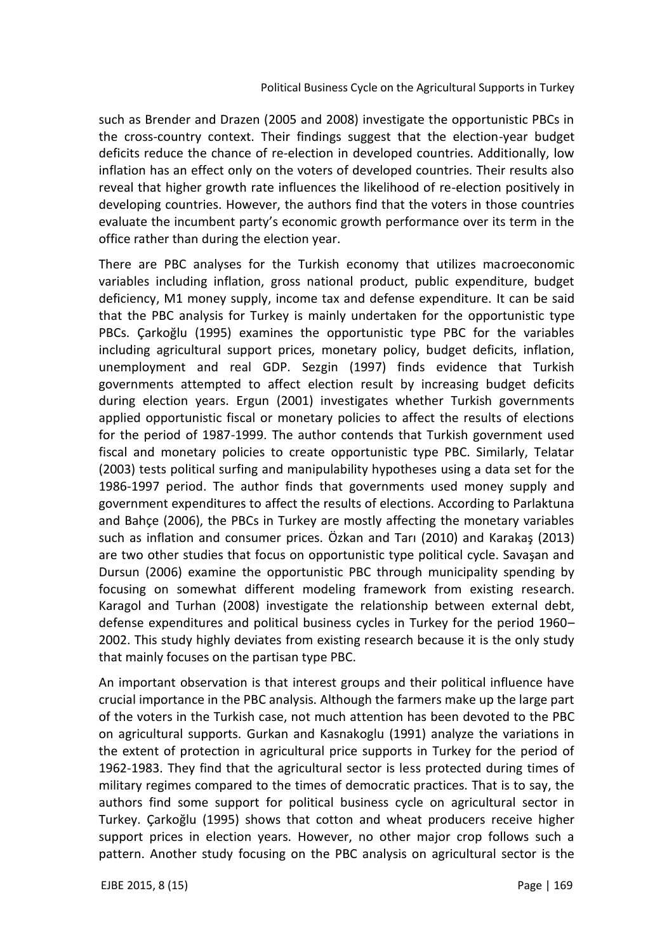such as Brender and Drazen (2005 and 2008) investigate the opportunistic PBCs in the cross-country context. Their findings suggest that the election-year budget deficits reduce the chance of re-election in developed countries. Additionally, low inflation has an effect only on the voters of developed countries. Their results also reveal that higher growth rate influences the likelihood of re-election positively in developing countries. However, the authors find that the voters in those countries evaluate the incumbent party's economic growth performance over its term in the office rather than during the election year.

There are PBC analyses for the Turkish economy that utilizes macroeconomic variables including inflation, gross national product, public expenditure, budget deficiency, M1 money supply, income tax and defense expenditure. It can be said that the PBC analysis for Turkey is mainly undertaken for the opportunistic type PBCs. Çarkoğlu (1995) examines the opportunistic type PBC for the variables including agricultural support prices, monetary policy, budget deficits, inflation, unemployment and real GDP. Sezgin (1997) finds evidence that Turkish governments attempted to affect election result by increasing budget deficits during election years. Ergun (2001) investigates whether Turkish governments applied opportunistic fiscal or monetary policies to affect the results of elections for the period of 1987-1999. The author contends that Turkish government used fiscal and monetary policies to create opportunistic type PBC. Similarly, Telatar (2003) tests political surfing and manipulability hypotheses using a data set for the 1986-1997 period. The author finds that governments used money supply and government expenditures to affect the results of elections. According to Parlaktuna and Bahçe (2006), the PBCs in Turkey are mostly affecting the monetary variables such as inflation and consumer prices. Ӧzkan and Tarı (2010) and Karakaş (2013) are two other studies that focus on opportunistic type political cycle. Savaşan and Dursun (2006) examine the opportunistic PBC through municipality spending by focusing on somewhat different modeling framework from existing research. Karagol and Turhan (2008) investigate the relationship between external debt, defense expenditures and political business cycles in Turkey for the period 1960– 2002. This study highly deviates from existing research because it is the only study that mainly focuses on the partisan type PBC.

An important observation is that interest groups and their political influence have crucial importance in the PBC analysis. Although the farmers make up the large part of the voters in the Turkish case, not much attention has been devoted to the PBC on agricultural supports. Gurkan and Kasnakoglu (1991) analyze the variations in the extent of protection in agricultural price supports in Turkey for the period of 1962-1983. They find that the agricultural sector is less protected during times of military regimes compared to the times of democratic practices. That is to say, the authors find some support for political business cycle on agricultural sector in Turkey. Çarkoğlu (1995) shows that cotton and wheat producers receive higher support prices in election years. However, no other major crop follows such a pattern. Another study focusing on the PBC analysis on agricultural sector is the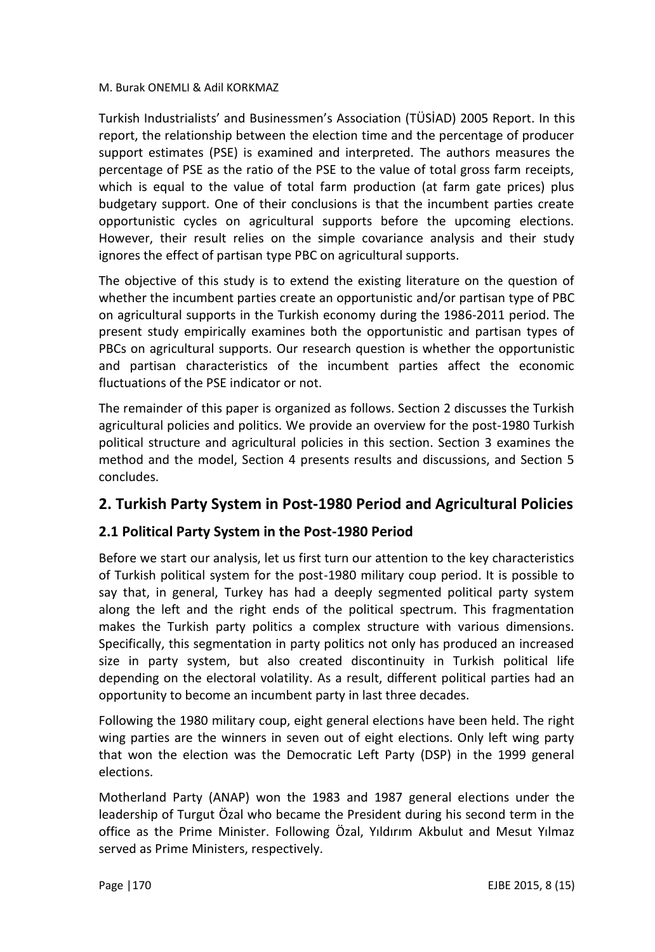Turkish Industrialists' and Businessmen's Association (TÜSİAD) 2005 Report. In this report, the relationship between the election time and the percentage of producer support estimates (PSE) is examined and interpreted. The authors measures the percentage of PSE as the ratio of the PSE to the value of total gross farm receipts, which is equal to the value of total farm production (at farm gate prices) plus budgetary support. One of their conclusions is that the incumbent parties create opportunistic cycles on agricultural supports before the upcoming elections. However, their result relies on the simple covariance analysis and their study ignores the effect of partisan type PBC on agricultural supports.

The objective of this study is to extend the existing literature on the question of whether the incumbent parties create an opportunistic and/or partisan type of PBC on agricultural supports in the Turkish economy during the 1986-2011 period. The present study empirically examines both the opportunistic and partisan types of PBCs on agricultural supports. Our research question is whether the opportunistic and partisan characteristics of the incumbent parties affect the economic fluctuations of the PSE indicator or not.

The remainder of this paper is organized as follows. Section 2 discusses the Turkish agricultural policies and politics. We provide an overview for the post-1980 Turkish political structure and agricultural policies in this section. Section 3 examines the method and the model, Section 4 presents results and discussions, and Section 5 concludes.

# **2. Turkish Party System in Post-1980 Period and Agricultural Policies**

## **2.1 Political Party System in the Post-1980 Period**

Before we start our analysis, let us first turn our attention to the key characteristics of Turkish political system for the post-1980 military coup period. It is possible to say that, in general, Turkey has had a deeply segmented political party system along the left and the right ends of the political spectrum. This fragmentation makes the Turkish party politics a complex structure with various dimensions. Specifically, this segmentation in party politics not only has produced an increased size in party system, but also created discontinuity in Turkish political life depending on the electoral volatility. As a result, different political parties had an opportunity to become an incumbent party in last three decades.

Following the 1980 military coup, eight general elections have been held. The right wing parties are the winners in seven out of eight elections. Only left wing party that won the election was the Democratic Left Party (DSP) in the 1999 general elections.

Motherland Party (ANAP) won the 1983 and 1987 general elections under the leadership of Turgut Özal who became the President during his second term in the office as the Prime Minister. Following Ӧzal, Yıldırım Akbulut and Mesut Yılmaz served as Prime Ministers, respectively.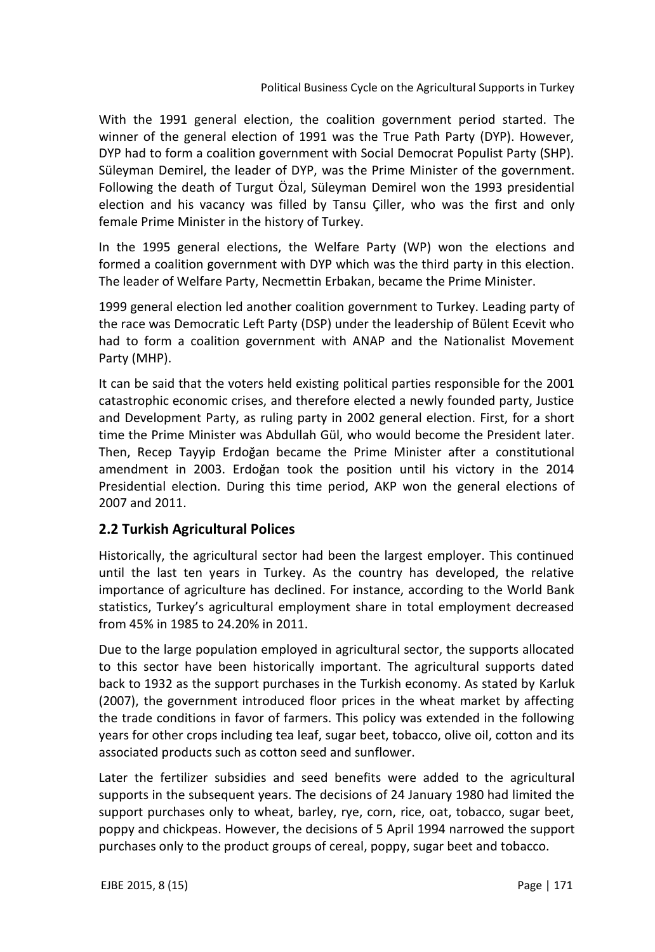With the 1991 general election, the coalition government period started. The winner of the general election of 1991 was the True Path Party (DYP). However, DYP had to form a coalition government with Social Democrat Populist Party (SHP). Süleyman Demirel, the leader of DYP, was the Prime Minister of the government. Following the death of Turgut Özal, Süleyman Demirel won the 1993 presidential election and his vacancy was filled by Tansu Çiller, who was the first and only female Prime Minister in the history of Turkey.

In the 1995 general elections, the Welfare Party (WP) won the elections and formed a coalition government with DYP which was the third party in this election. The leader of Welfare Party, Necmettin Erbakan, became the Prime Minister.

1999 general election led another coalition government to Turkey. Leading party of the race was Democratic Left Party (DSP) under the leadership of Bülent Ecevit who had to form a coalition government with ANAP and the Nationalist Movement Party (MHP).

It can be said that the voters held existing political parties responsible for the 2001 catastrophic economic crises, and therefore elected a newly founded party, Justice and Development Party, as ruling party in 2002 general election. First, for a short time the Prime Minister was Abdullah Gül, who would become the President later. Then, Recep Tayyip Erdoğan became the Prime Minister after a constitutional amendment in 2003. Erdoğan took the position until his victory in the 2014 Presidential election. During this time period, AKP won the general elections of 2007 and 2011.

## **2.2 Turkish Agricultural Polices**

Historically, the agricultural sector had been the largest employer. This continued until the last ten years in Turkey. As the country has developed, the relative importance of agriculture has declined. For instance, according to the World Bank statistics, Turkey's agricultural employment share in total employment decreased from 45% in 1985 to 24.20% in 2011.

Due to the large population employed in agricultural sector, the supports allocated to this sector have been historically important. The agricultural supports dated back to 1932 as the support purchases in the Turkish economy. As stated by Karluk (2007), the government introduced floor prices in the wheat market by affecting the trade conditions in favor of farmers. This policy was extended in the following years for other crops including tea leaf, sugar beet, tobacco, olive oil, cotton and its associated products such as cotton seed and sunflower.

Later the fertilizer subsidies and seed benefits were added to the agricultural supports in the subsequent years. The decisions of 24 January 1980 had limited the support purchases only to wheat, barley, rye, corn, rice, oat, tobacco, sugar beet, poppy and chickpeas. However, the decisions of 5 April 1994 narrowed the support purchases only to the product groups of cereal, poppy, sugar beet and tobacco.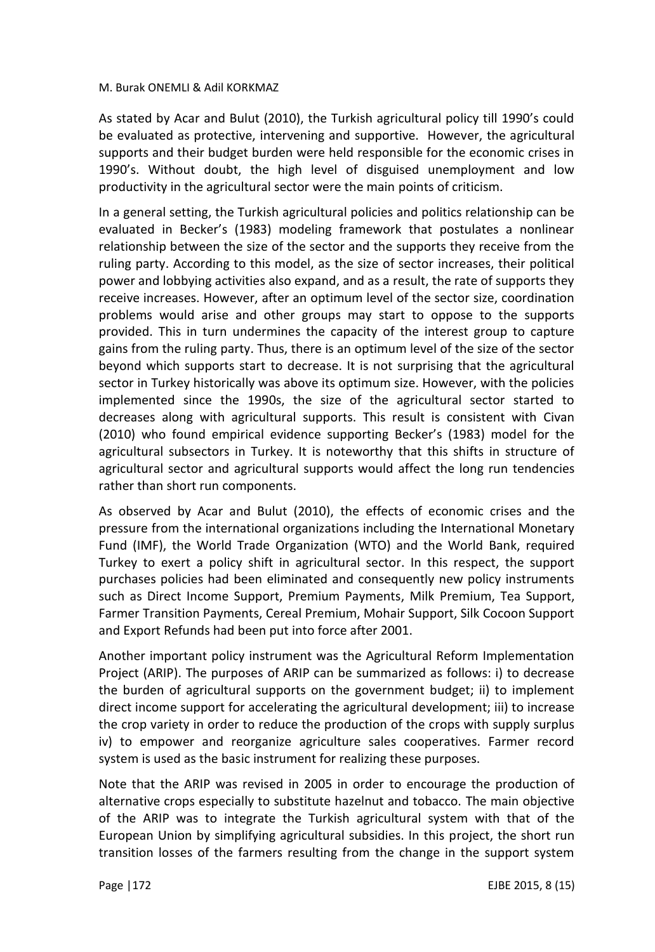As stated by Acar and Bulut (2010), the Turkish agricultural policy till 1990's could be evaluated as protective, intervening and supportive. However, the agricultural supports and their budget burden were held responsible for the economic crises in 1990's. Without doubt, the high level of disguised unemployment and low productivity in the agricultural sector were the main points of criticism.

In a general setting, the Turkish agricultural policies and politics relationship can be evaluated in Becker's (1983) modeling framework that postulates a nonlinear relationship between the size of the sector and the supports they receive from the ruling party. According to this model, as the size of sector increases, their political power and lobbying activities also expand, and as a result, the rate of supports they receive increases. However, after an optimum level of the sector size, coordination problems would arise and other groups may start to oppose to the supports provided. This in turn undermines the capacity of the interest group to capture gains from the ruling party. Thus, there is an optimum level of the size of the sector beyond which supports start to decrease. It is not surprising that the agricultural sector in Turkey historically was above its optimum size. However, with the policies implemented since the 1990s, the size of the agricultural sector started to decreases along with agricultural supports. This result is consistent with Civan (2010) who found empirical evidence supporting Becker's (1983) model for the agricultural subsectors in Turkey. It is noteworthy that this shifts in structure of agricultural sector and agricultural supports would affect the long run tendencies rather than short run components.

As observed by Acar and Bulut (2010), the effects of economic crises and the pressure from the international organizations including the International Monetary Fund (IMF), the World Trade Organization (WTO) and the World Bank, required Turkey to exert a policy shift in agricultural sector. In this respect, the support purchases policies had been eliminated and consequently new policy instruments such as Direct Income Support, Premium Payments, Milk Premium, Tea Support, Farmer Transition Payments, Cereal Premium, Mohair Support, Silk Cocoon Support and Export Refunds had been put into force after 2001.

Another important policy instrument was the Agricultural Reform Implementation Project (ARIP). The purposes of ARIP can be summarized as follows: i) to decrease the burden of agricultural supports on the government budget; ii) to implement direct income support for accelerating the agricultural development; iii) to increase the crop variety in order to reduce the production of the crops with supply surplus iv) to empower and reorganize agriculture sales cooperatives. Farmer record system is used as the basic instrument for realizing these purposes.

Note that the ARIP was revised in 2005 in order to encourage the production of alternative crops especially to substitute hazelnut and tobacco. The main objective of the ARIP was to integrate the Turkish agricultural system with that of the European Union by simplifying agricultural subsidies. In this project, the short run transition losses of the farmers resulting from the change in the support system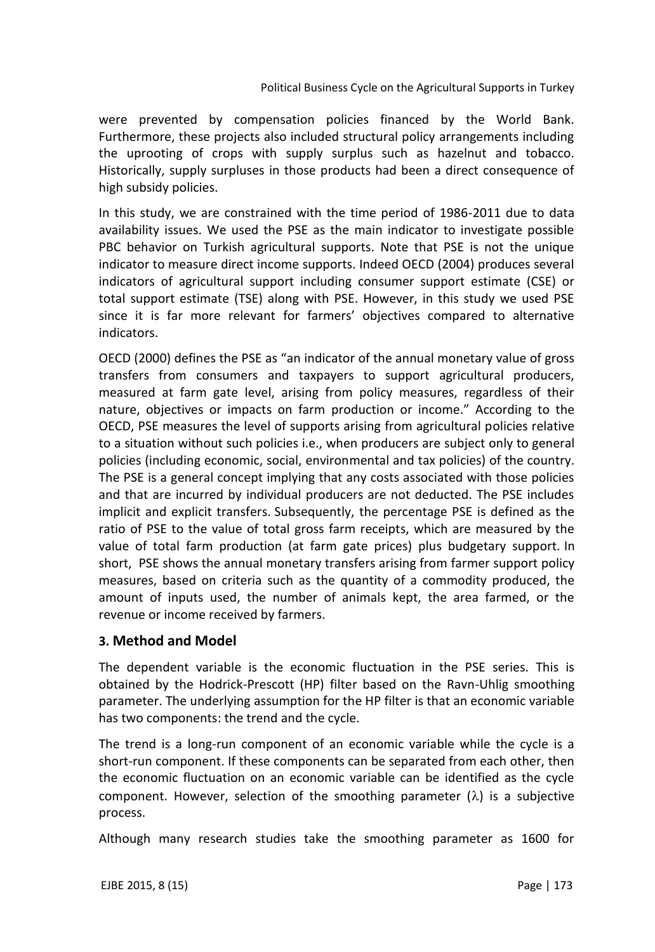#### Political Business Cycle on the Agricultural Supports in Turkey

were prevented by compensation policies financed by the World Bank. Furthermore, these projects also included structural policy arrangements including the uprooting of crops with supply surplus such as hazelnut and tobacco. Historically, supply surpluses in those products had been a direct consequence of high subsidy policies.

In this study, we are constrained with the time period of 1986-2011 due to data availability issues. We used the PSE as the main indicator to investigate possible PBC behavior on Turkish agricultural supports. Note that PSE is not the unique indicator to measure direct income supports. Indeed OECD (2004) produces several indicators of agricultural support including consumer support estimate (CSE) or total support estimate (TSE) along with PSE. However, in this study we used PSE since it is far more relevant for farmers' objectives compared to alternative indicators.

OECD (2000) defines the PSE as "an indicator of the annual monetary value of gross transfers from consumers and taxpayers to support agricultural producers, measured at farm gate level, arising from policy measures, regardless of their nature, objectives or impacts on farm production or income." According to the OECD, PSE measures the level of supports arising from agricultural policies relative to a situation without such policies i.e., when producers are subject only to general policies (including economic, social, environmental and tax policies) of the country. The PSE is a general concept implying that any costs associated with those policies and that are incurred by individual producers are not deducted. The PSE includes implicit and explicit transfers. Subsequently, the percentage PSE is defined as the ratio of PSE to the value of total gross farm receipts, which are measured by the value of total farm production (at farm gate prices) plus budgetary support. In short, PSE shows the annual monetary transfers arising from farmer support policy measures, based on criteria such as the quantity of a commodity produced, the amount of inputs used, the number of animals kept, the area farmed, or the revenue or income received by farmers.

### **3. Method and Model**

The dependent variable is the economic fluctuation in the PSE series. This is obtained by the Hodrick-Prescott (HP) filter based on the Ravn-Uhlig smoothing parameter. The underlying assumption for the HP filter is that an economic variable has two components: the trend and the cycle.

The trend is a long-run component of an economic variable while the cycle is a short-run component. If these components can be separated from each other, then the economic fluctuation on an economic variable can be identified as the cycle component. However, selection of the smoothing parameter  $(\lambda)$  is a subjective process.

Although many research studies take the smoothing parameter as 1600 for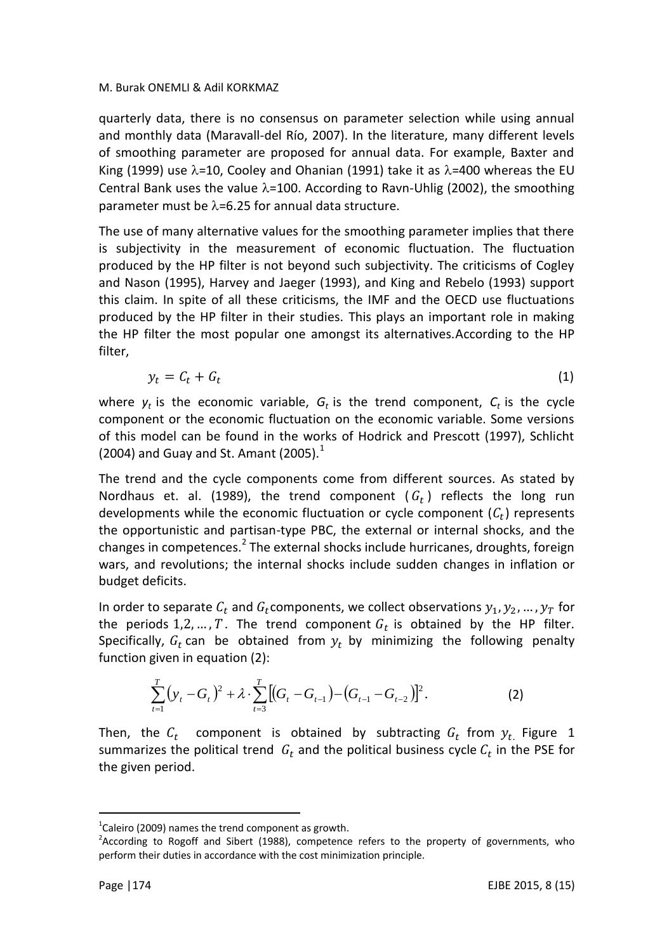quarterly data, there is no consensus on parameter selection while using annual and monthly data (Maravall-del Río, 2007). In the literature, many different levels of smoothing parameter are proposed for annual data. For example, Baxter and King (1999) use  $\lambda$ =10, Cooley and Ohanian (1991) take it as  $\lambda$ =400 whereas the EU Central Bank uses the value  $\lambda$ =100. According to Ravn-Uhlig (2002), the smoothing parameter must be  $\lambda$ =6.25 for annual data structure.

The use of many alternative values for the smoothing parameter implies that there is subjectivity in the measurement of economic fluctuation. The fluctuation produced by the HP filter is not beyond such subjectivity. The criticisms of Cogley and Nason (1995), Harvey and Jaeger (1993), and King and Rebelo (1993) support this claim. In spite of all these criticisms, the IMF and the OECD use fluctuations produced by the HP filter in their studies. This plays an important role in making the HP filter the most popular one amongst its alternatives.According to the HP filter,

$$
y_t = C_t + G_t \tag{1}
$$

where  $y_t$  is the economic variable,  $G_t$  is the trend component,  $C_t$  is the cycle component or the economic fluctuation on the economic variable. Some versions of this model can be found in the works of Hodrick and Prescott (1997), Schlicht (2004) and Guay and St. Amant (2005). $<sup>1</sup>$ </sup>

The trend and the cycle components come from different sources. As stated by Nordhaus et. al. (1989), the trend component ( $G_t$ ) reflects the long run developments while the economic fluctuation or cycle component  $(\mathcal{C}_t)$  represents the opportunistic and partisan-type PBC, the external or internal shocks, and the changes in competences.<sup>2</sup> The external shocks include hurricanes, droughts, foreign wars, and revolutions; the internal shocks include sudden changes in inflation or budget deficits.

In order to separate  $C_t$  and  $G_t$ components, we collect observations  $y_1, y_2, ..., y_T$  for the periods 1,2, ..., T. The trend component  $G_t$  is obtained by the HP filter. Specifically,  $G_t$  can be obtained from  $y_t$  by minimizing the following penalty function given in equation (2):

$$
\sum_{t=1}^{T} (y_t - G_t)^2 + \lambda \cdot \sum_{t=3}^{T} [(G_t - G_{t-1}) - (G_{t-1} - G_{t-2})]^2.
$$
 (2)

Then, the  $C_t$  component is obtained by subtracting  $G_t$  from  $y_t$  Figure 1 summarizes the political trend  $\,G_{t}$  and the political business cycle  $\mathcal{C}_{t}$  in the PSE for the given period.

 $\overline{a}$  $^{1}$ Caleiro (2009) names the trend component as growth.

<sup>&</sup>lt;sup>2</sup>According to Rogoff and Sibert (1988), competence refers to the property of governments, who perform their duties in accordance with the cost minimization principle.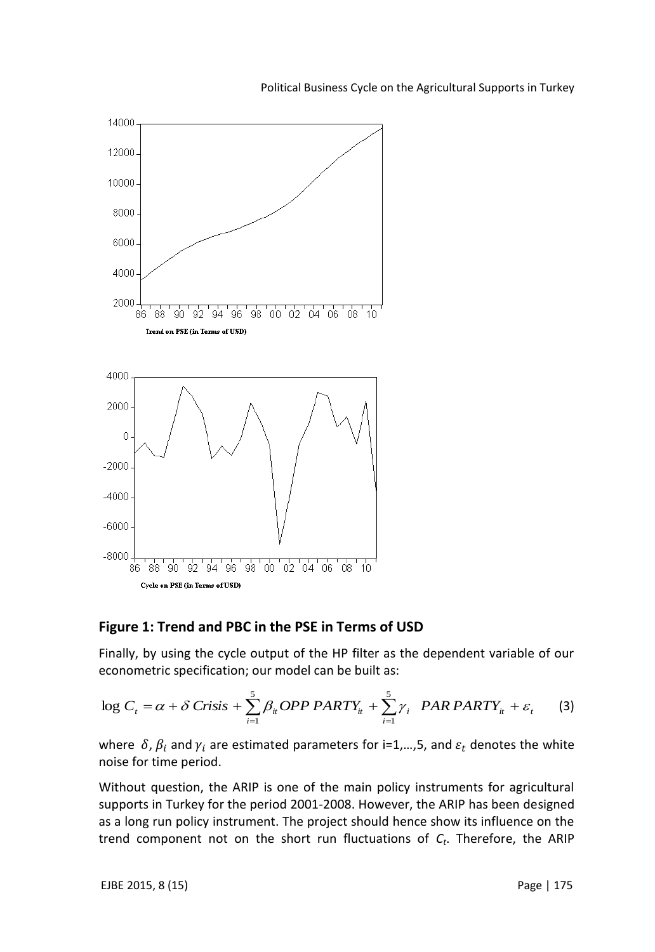

#### Political Business Cycle on the Agricultural Supports in Turkey

#### **Figure 1: Trend and PBC in the PSE in Terms of USD**

Finally, by using the cycle output of the HP filter as the dependent variable of our econometric specification; our model can be built as:

$$
\log C_t = \alpha + \delta \text{ Crisis} + \sum_{i=1}^{5} \beta_{ii} \text{OPP} \text{PARTY}_u + \sum_{i=1}^{5} \gamma_i \text{PAR} \text{PARTY}_u + \varepsilon, \tag{3}
$$

where  $\delta$ ,  $\beta_i$  and  $\gamma_i$  are estimated parameters for i=1,...,5, and  $\varepsilon_t$  denotes the white noise for time period.

Without question, the ARIP is one of the main policy instruments for agricultural supports in Turkey for the period 2001-2008. However, the ARIP has been designed as a long run policy instrument. The project should hence show its influence on the trend component not on the short run fluctuations of *C<sup>t</sup>* . Therefore, the ARIP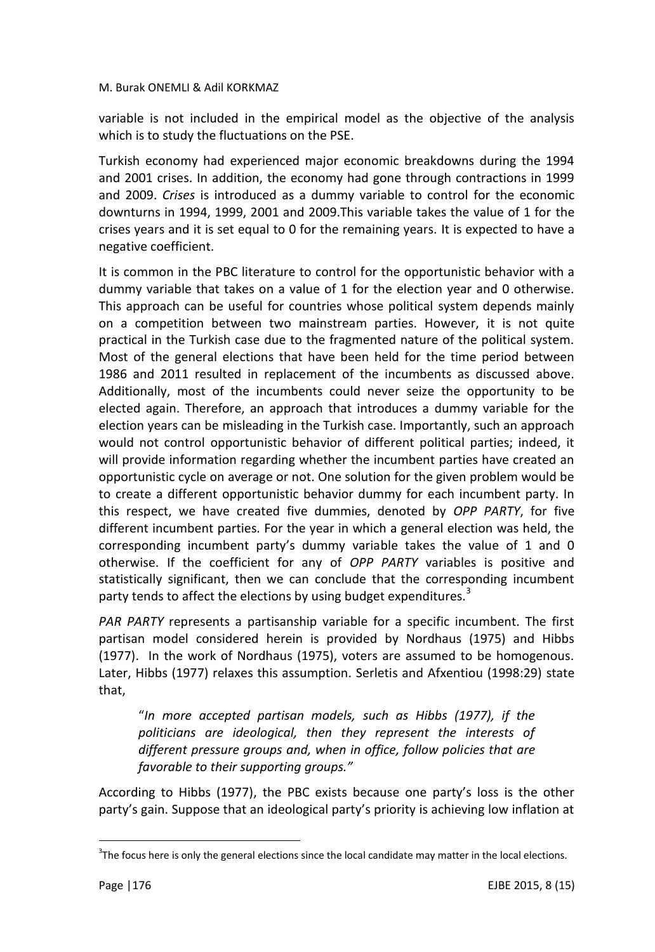variable is not included in the empirical model as the objective of the analysis which is to study the fluctuations on the PSE.

Turkish economy had experienced major economic breakdowns during the 1994 and 2001 crises. In addition, the economy had gone through contractions in 1999 and 2009. *Crises* is introduced as a dummy variable to control for the economic downturns in 1994, 1999, 2001 and 2009.This variable takes the value of 1 for the crises years and it is set equal to 0 for the remaining years. It is expected to have a negative coefficient.

It is common in the PBC literature to control for the opportunistic behavior with a dummy variable that takes on a value of 1 for the election year and 0 otherwise. This approach can be useful for countries whose political system depends mainly on a competition between two mainstream parties. However, it is not quite practical in the Turkish case due to the fragmented nature of the political system. Most of the general elections that have been held for the time period between 1986 and 2011 resulted in replacement of the incumbents as discussed above. Additionally, most of the incumbents could never seize the opportunity to be elected again. Therefore, an approach that introduces a dummy variable for the election years can be misleading in the Turkish case. Importantly, such an approach would not control opportunistic behavior of different political parties; indeed, it will provide information regarding whether the incumbent parties have created an opportunistic cycle on average or not. One solution for the given problem would be to create a different opportunistic behavior dummy for each incumbent party. In this respect, we have created five dummies, denoted by *OPP PARTY*, for five different incumbent parties. For the year in which a general election was held, the corresponding incumbent party's dummy variable takes the value of 1 and 0 otherwise. If the coefficient for any of *OPP PARTY* variables is positive and statistically significant, then we can conclude that the corresponding incumbent party tends to affect the elections by using budget expenditures.<sup>3</sup>

*PAR PARTY* represents a partisanship variable for a specific incumbent. The first partisan model considered herein is provided by Nordhaus (1975) and Hibbs (1977). In the work of Nordhaus (1975), voters are assumed to be homogenous. Later, Hibbs (1977) relaxes this assumption. Serletis and Afxentiou (1998:29) state that,

"*In more accepted partisan models, such as Hibbs (1977), if the politicians are ideological, then they represent the interests of different pressure groups and, when in office, follow policies that are favorable to their supporting groups."*

According to Hibbs (1977), the PBC exists because one party's loss is the other party's gain. Suppose that an ideological party's priority is achieving low inflation at

 $\overline{a}$ 

 $3$ The focus here is only the general elections since the local candidate may matter in the local elections.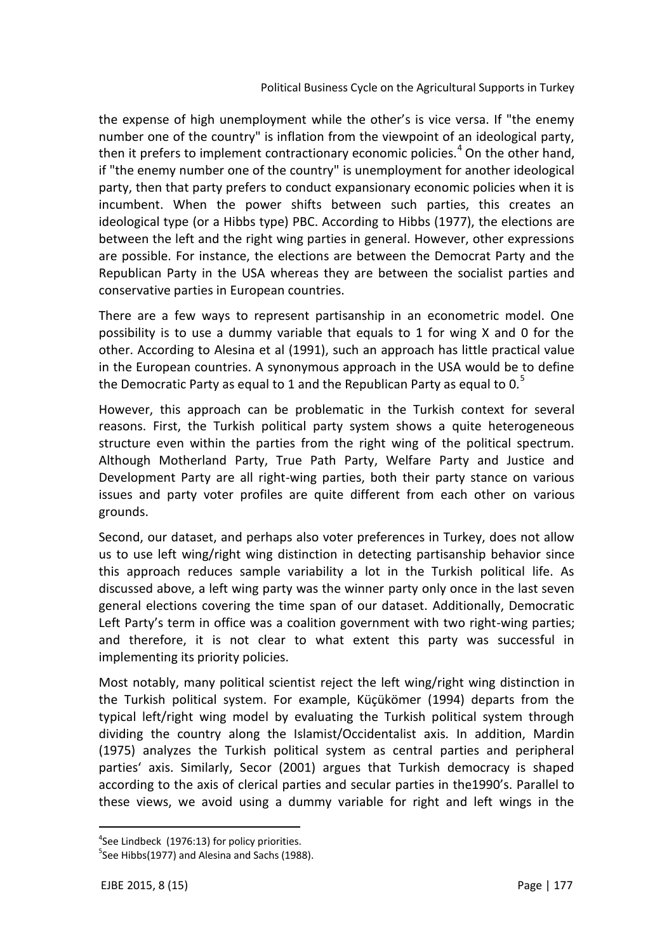the expense of high unemployment while the other's is vice versa. If "the enemy number one of the country" is inflation from the viewpoint of an ideological party, then it prefers to implement contractionary economic policies.<sup>4</sup> On the other hand, if "the enemy number one of the country" is unemployment for another ideological party, then that party prefers to conduct expansionary economic policies when it is incumbent. When the power shifts between such parties, this creates an ideological type (or a Hibbs type) PBC. According to Hibbs (1977), the elections are between the left and the right wing parties in general. However, other expressions are possible. For instance, the elections are between the Democrat Party and the Republican Party in the USA whereas they are between the socialist parties and conservative parties in European countries.

There are a few ways to represent partisanship in an econometric model. One possibility is to use a dummy variable that equals to 1 for wing X and 0 for the other. According to Alesina et al (1991), such an approach has little practical value in the European countries. A synonymous approach in the USA would be to define the Democratic Party as equal to 1 and the Republican Party as equal to 0. $5$ 

However, this approach can be problematic in the Turkish context for several reasons. First, the Turkish political party system shows a quite heterogeneous structure even within the parties from the right wing of the political spectrum. Although Motherland Party, True Path Party, Welfare Party and Justice and Development Party are all right-wing parties, both their party stance on various issues and party voter profiles are quite different from each other on various grounds.

Second, our dataset, and perhaps also voter preferences in Turkey, does not allow us to use left wing/right wing distinction in detecting partisanship behavior since this approach reduces sample variability a lot in the Turkish political life. As discussed above, a left wing party was the winner party only once in the last seven general elections covering the time span of our dataset. Additionally, Democratic Left Party's term in office was a coalition government with two right-wing parties; and therefore, it is not clear to what extent this party was successful in implementing its priority policies.

Most notably, many political scientist reject the left wing/right wing distinction in the Turkish political system. For example, Küçükömer (1994) departs from the typical left/right wing model by evaluating the Turkish political system through dividing the country along the Islamist/Occidentalist axis. In addition, Mardin (1975) analyzes the Turkish political system as central parties and peripheral parties' axis. Similarly, Secor (2001) argues that Turkish democracy is shaped according to the axis of clerical parties and secular parties in the1990's. Parallel to these views, we avoid using a dummy variable for right and left wings in the

 $\overline{\phantom{a}}$ 

<sup>&</sup>lt;sup>4</sup>See Lindbeck (1976:13) for policy priorities.

<sup>&</sup>lt;sup>5</sup>See Hibbs(1977) and Alesina and Sachs (1988).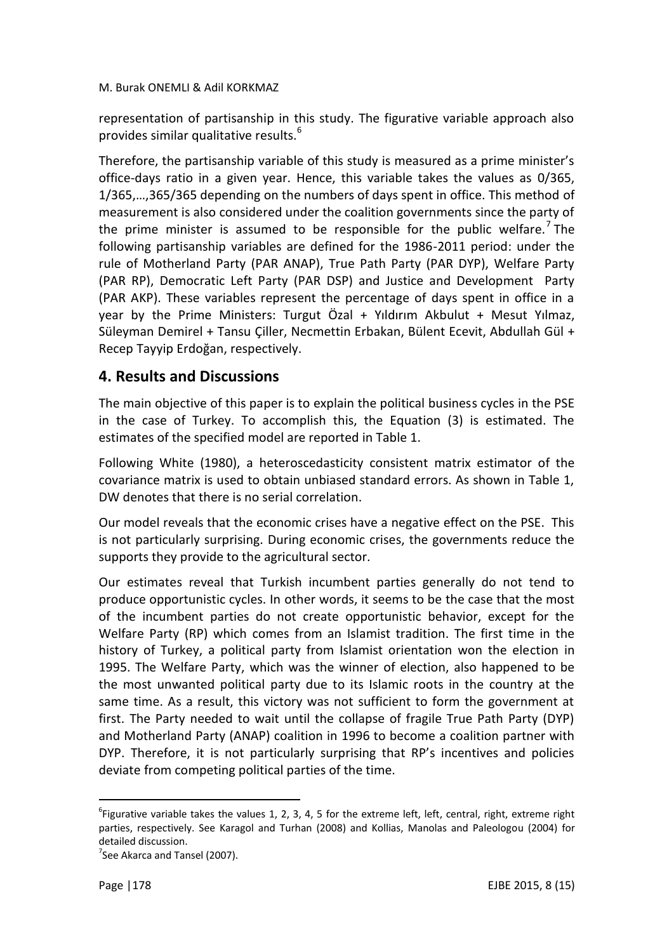representation of partisanship in this study. The figurative variable approach also provides similar qualitative results.<sup>6</sup>

Therefore, the partisanship variable of this study is measured as a prime minister's office-days ratio in a given year. Hence, this variable takes the values as 0/365, 1/365,…,365/365 depending on the numbers of days spent in office. This method of measurement is also considered under the coalition governments since the party of the prime minister is assumed to be responsible for the public welfare.<sup>7</sup> The following partisanship variables are defined for the 1986-2011 period: under the rule of Motherland Party (PAR ANAP), True Path Party (PAR DYP), Welfare Party (PAR RP), Democratic Left Party (PAR DSP) and Justice and Development Party (PAR AKP). These variables represent the percentage of days spent in office in a year by the Prime Ministers: Turgut Özal + Yıldırım Akbulut + Mesut Yılmaz, Süleyman Demirel + Tansu Çiller, Necmettin Erbakan, Bülent Ecevit, Abdullah Gül + Recep Tayyip Erdoğan, respectively.

# **4. Results and Discussions**

The main objective of this paper is to explain the political business cycles in the PSE in the case of Turkey. To accomplish this, the Equation (3) is estimated. The estimates of the specified model are reported in Table 1.

Following White (1980), a heteroscedasticity consistent matrix estimator of the covariance matrix is used to obtain unbiased standard errors. As shown in Table 1, DW denotes that there is no serial correlation.

Our model reveals that the economic crises have a negative effect on the PSE. This is not particularly surprising. During economic crises, the governments reduce the supports they provide to the agricultural sector.

Our estimates reveal that Turkish incumbent parties generally do not tend to produce opportunistic cycles. In other words, it seems to be the case that the most of the incumbent parties do not create opportunistic behavior, except for the Welfare Party (RP) which comes from an Islamist tradition. The first time in the history of Turkey, a political party from Islamist orientation won the election in 1995. The Welfare Party, which was the winner of election, also happened to be the most unwanted political party due to its Islamic roots in the country at the same time. As a result, this victory was not sufficient to form the government at first. The Party needed to wait until the collapse of fragile True Path Party (DYP) and Motherland Party (ANAP) coalition in 1996 to become a coalition partner with DYP. Therefore, it is not particularly surprising that RP's incentives and policies deviate from competing political parties of the time.

 $\overline{a}$ 

 $^6$ Figurative variable takes the values 1, 2, 3, 4, 5 for the extreme left, left, central, right, extreme right parties, respectively. See Karagol and Turhan (2008) and Kollias, Manolas and Paleologou (2004) for detailed discussion.

<sup>&</sup>lt;sup>7</sup>See Akarca and Tansel (2007).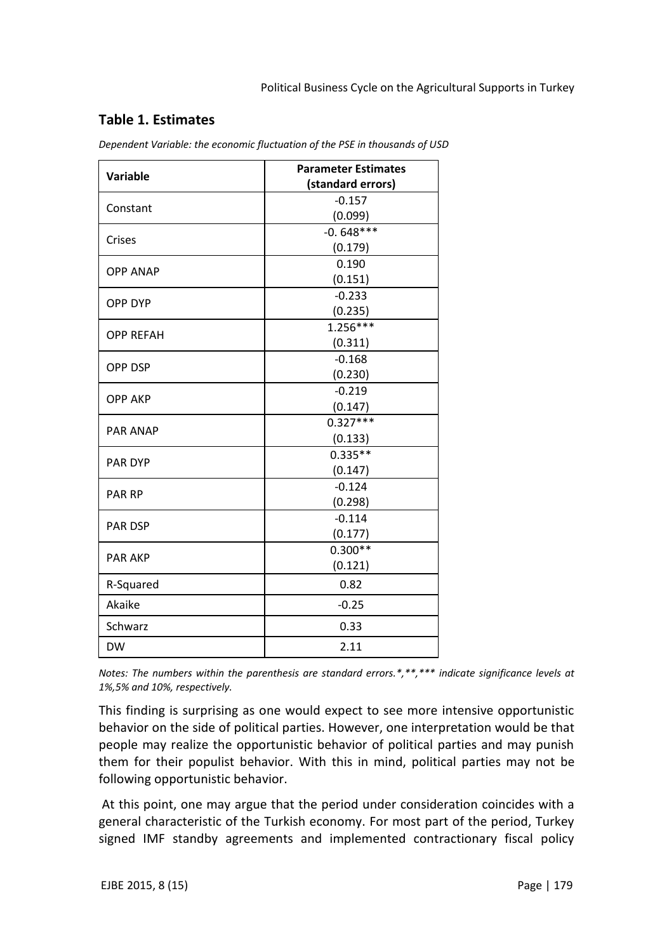## **Table 1. Estimates**

| Variable         | <b>Parameter Estimates</b> |
|------------------|----------------------------|
|                  | (standard errors)          |
| Constant         | $-0.157$                   |
|                  | (0.099)                    |
| Crises           | $-0.648***$                |
|                  | (0.179)                    |
| <b>OPP ANAP</b>  | 0.190                      |
|                  | (0.151)                    |
| <b>OPP DYP</b>   | $-0.233$                   |
|                  | (0.235)                    |
| <b>OPP REFAH</b> | $1.256***$                 |
|                  | (0.311)                    |
| <b>OPP DSP</b>   | $-0.168$                   |
|                  | (0.230)                    |
| <b>OPP AKP</b>   | $-0.219$                   |
|                  | (0.147)                    |
| <b>PAR ANAP</b>  | $0.327***$                 |
|                  | (0.133)                    |
| <b>PAR DYP</b>   | $0.335**$                  |
|                  | (0.147)                    |
| <b>PAR RP</b>    | $-0.124$                   |
|                  | (0.298)                    |
| <b>PAR DSP</b>   | $-0.114$                   |
|                  | (0.177)                    |
| <b>PAR AKP</b>   | $0.300**$                  |
|                  | (0.121)                    |
| R-Squared        | 0.82                       |
| Akaike           | $-0.25$                    |
| Schwarz          | 0.33                       |
| <b>DW</b>        | 2.11                       |

*Dependent Variable: the economic fluctuation of the PSE in thousands of USD*

*Notes: The numbers within the parenthesis are standard errors.\*,\*\*,\*\*\* indicate significance levels at 1%,5% and 10%, respectively.*

This finding is surprising as one would expect to see more intensive opportunistic behavior on the side of political parties. However, one interpretation would be that people may realize the opportunistic behavior of political parties and may punish them for their populist behavior. With this in mind, political parties may not be following opportunistic behavior.

At this point, one may argue that the period under consideration coincides with a general characteristic of the Turkish economy. For most part of the period, Turkey signed IMF standby agreements and implemented contractionary fiscal policy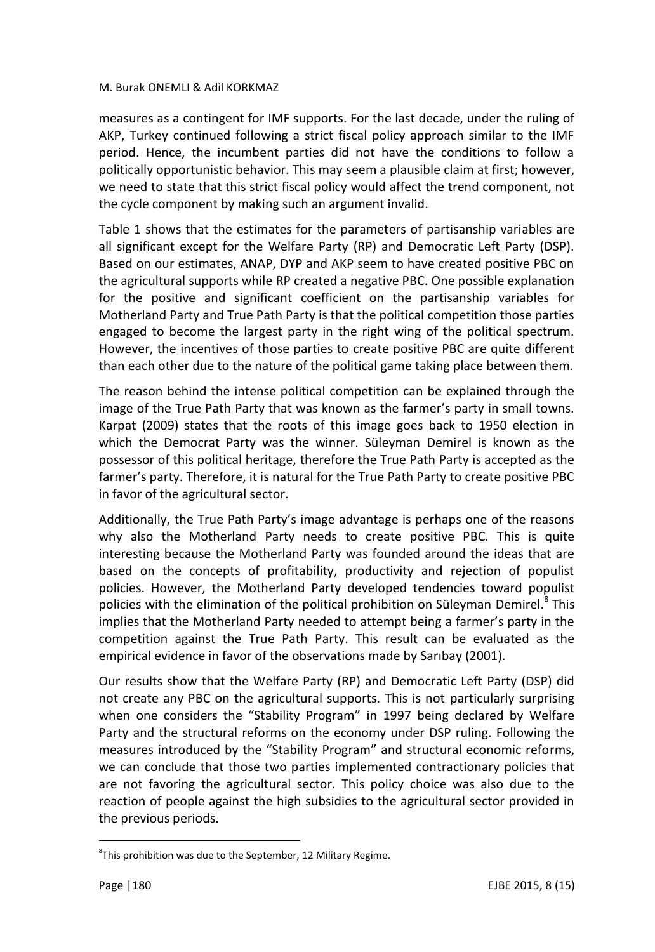measures as a contingent for IMF supports. For the last decade, under the ruling of AKP, Turkey continued following a strict fiscal policy approach similar to the IMF period. Hence, the incumbent parties did not have the conditions to follow a politically opportunistic behavior. This may seem a plausible claim at first; however, we need to state that this strict fiscal policy would affect the trend component, not the cycle component by making such an argument invalid.

Table 1 shows that the estimates for the parameters of partisanship variables are all significant except for the Welfare Party (RP) and Democratic Left Party (DSP). Based on our estimates, ANAP, DYP and AKP seem to have created positive PBC on the agricultural supports while RP created a negative PBC. One possible explanation for the positive and significant coefficient on the partisanship variables for Motherland Party and True Path Party is that the political competition those parties engaged to become the largest party in the right wing of the political spectrum. However, the incentives of those parties to create positive PBC are quite different than each other due to the nature of the political game taking place between them.

The reason behind the intense political competition can be explained through the image of the True Path Party that was known as the farmer's party in small towns. Karpat (2009) states that the roots of this image goes back to 1950 election in which the Democrat Party was the winner. Süleyman Demirel is known as the possessor of this political heritage, therefore the True Path Party is accepted as the farmer's party. Therefore, it is natural for the True Path Party to create positive PBC in favor of the agricultural sector.

Additionally, the True Path Party's image advantage is perhaps one of the reasons why also the Motherland Party needs to create positive PBC. This is quite interesting because the Motherland Party was founded around the ideas that are based on the concepts of profitability, productivity and rejection of populist policies. However, the Motherland Party developed tendencies toward populist policies with the elimination of the political prohibition on Süleyman Demirel.<sup>8</sup> This implies that the Motherland Party needed to attempt being a farmer's party in the competition against the True Path Party. This result can be evaluated as the empirical evidence in favor of the observations made by Sarıbay (2001).

Our results show that the Welfare Party (RP) and Democratic Left Party (DSP) did not create any PBC on the agricultural supports. This is not particularly surprising when one considers the "Stability Program" in 1997 being declared by Welfare Party and the structural reforms on the economy under DSP ruling. Following the measures introduced by the "Stability Program" and structural economic reforms, we can conclude that those two parties implemented contractionary policies that are not favoring the agricultural sector. This policy choice was also due to the reaction of people against the high subsidies to the agricultural sector provided in the previous periods.

 $\overline{a}$ 

 ${}^{8}$ This prohibition was due to the September, 12 Military Regime.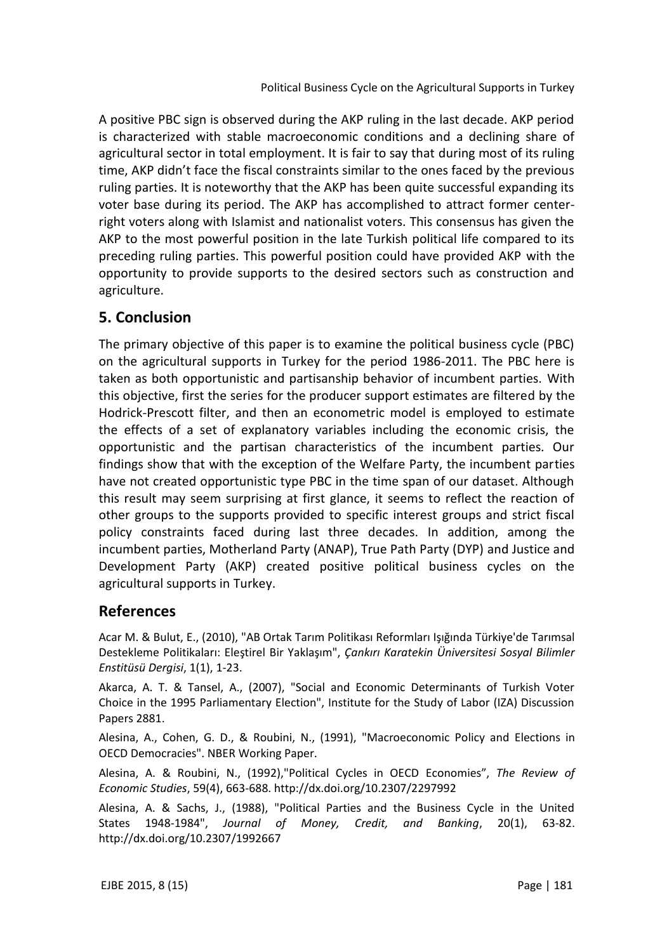A positive PBC sign is observed during the AKP ruling in the last decade. AKP period is characterized with stable macroeconomic conditions and a declining share of agricultural sector in total employment. It is fair to say that during most of its ruling time, AKP didn't face the fiscal constraints similar to the ones faced by the previous ruling parties. It is noteworthy that the AKP has been quite successful expanding its voter base during its period. The AKP has accomplished to attract former centerright voters along with Islamist and nationalist voters. This consensus has given the AKP to the most powerful position in the late Turkish political life compared to its preceding ruling parties. This powerful position could have provided AKP with the opportunity to provide supports to the desired sectors such as construction and agriculture.

# **5. Conclusion**

The primary objective of this paper is to examine the political business cycle (PBC) on the agricultural supports in Turkey for the period 1986-2011. The PBC here is taken as both opportunistic and partisanship behavior of incumbent parties. With this objective, first the series for the producer support estimates are filtered by the Hodrick-Prescott filter, and then an econometric model is employed to estimate the effects of a set of explanatory variables including the economic crisis, the opportunistic and the partisan characteristics of the incumbent parties. Our findings show that with the exception of the Welfare Party, the incumbent parties have not created opportunistic type PBC in the time span of our dataset. Although this result may seem surprising at first glance, it seems to reflect the reaction of other groups to the supports provided to specific interest groups and strict fiscal policy constraints faced during last three decades. In addition, among the incumbent parties, Motherland Party (ANAP), True Path Party (DYP) and Justice and Development Party (AKP) created positive political business cycles on the agricultural supports in Turkey.

## **References**

Acar M. & Bulut, E., (2010), "AB Ortak Tarım Politikası Reformları Işığında Türkiye'de Tarımsal Destekleme Politikaları: Eleştirel Bir Yaklaşım", *Çankırı Karatekin Üniversitesi Sosyal Bilimler Enstitüsü Dergisi*, 1(1), 1-23.

Akarca, A. T. & Tansel, A., (2007), "Social and Economic Determinants of Turkish Voter Choice in the 1995 Parliamentary Election", Institute for the Study of Labor (IZA) Discussion Papers 2881.

Alesina, A., Cohen, G. D., & Roubini, N., (1991), "Macroeconomic Policy and Elections in OECD Democracies". NBER Working Paper.

Alesina, A. & Roubini, N., (1992),"Political Cycles in OECD Economies", *The Review of Economic Studies*, 59(4), 663-688. http://dx.doi.org/10.2307/2297992

Alesina, A. & Sachs, J., (1988), "Political Parties and the Business Cycle in the United States 1948-1984", *Journal of Money, Credit, and Banking*, 20(1), 63-82. http://dx.doi.org/10.2307/1992667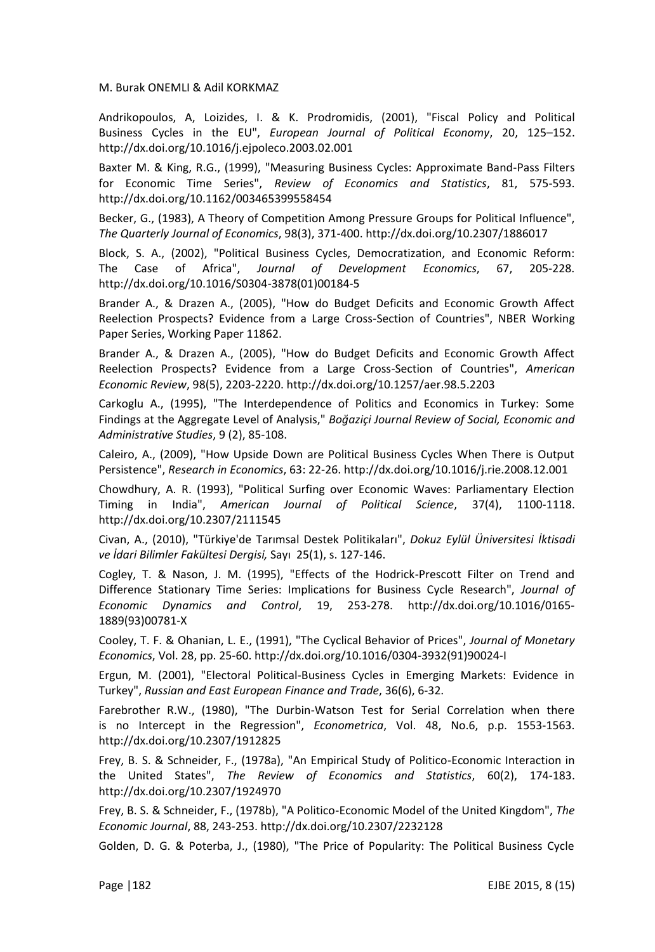Andrikopoulos, A, Loizides, I. & K. Prodromidis, (2001), "Fiscal Policy and Political Business Cycles in the EU", *European Journal of Political Economy*, 20, 125–152. http://dx.doi.org/10.1016/j.ejpoleco.2003.02.001

Baxter M. & King, R.G., (1999), "Measuring Business Cycles: Approximate Band-Pass Filters for Economic Time Series", *Review of Economics and Statistics*, 81, 575-593. http://dx.doi.org/10.1162/003465399558454

Becker, G., (1983), A Theory of Competition Among Pressure Groups for Political Influence", *The Quarterly Journal of Economics*, 98(3), 371-400. http://dx.doi.org/10.2307/1886017

Block, S. A., (2002), "Political Business Cycles, Democratization, and Economic Reform: The Case of Africa", *Journal of Development Economics*, 67, 205-228. http://dx.doi.org/10.1016/S0304-3878(01)00184-5

Brander A., & Drazen A., (2005), "How do Budget Deficits and Economic Growth Affect Reelection Prospects? Evidence from a Large Cross-Section of Countries", NBER Working Paper Series, Working Paper 11862.

Brander A., & Drazen A., (2005), "How do Budget Deficits and Economic Growth Affect Reelection Prospects? Evidence from a Large Cross-Section of Countries", *American Economic Review*, 98(5), 2203-2220. http://dx.doi.org/10.1257/aer.98.5.2203

Carkoglu A., (1995), "The Interdependence of Politics and Economics in Turkey: Some Findings at the Aggregate Level of Analysis," *Boğaziçi Journal Review of Social, Economic and Administrative Studies*, 9 (2), 85-108.

Caleiro, A., (2009), "How Upside Down are Political Business Cycles When There is Output Persistence", *Research in Economics*, 63: 22-26. http://dx.doi.org/10.1016/j.rie.2008.12.001

Chowdhury, A. R. (1993), "Political Surfing over Economic Waves: Parliamentary Election Timing in India", *American Journal of Political Science*, 37(4), 1100-1118. http://dx.doi.org/10.2307/2111545

Civan, A., (2010), "Türkiye'de Tarımsal Destek Politikaları", *Dokuz Eylül Üniversitesi İktisadi ve İdari Bilimler Fakültesi Dergisi,* Sayı 25(1), s. 127-146.

Cogley, T. & Nason, J. M. (1995), "Effects of the Hodrick-Prescott Filter on Trend and Difference Stationary Time Series: Implications for Business Cycle Research", *Journal of Economic Dynamics and Control*, 19, 253-278. http://dx.doi.org/10.1016/0165- 1889(93)00781-X

Cooley, T. F. & Ohanian, L. E., (1991), "The Cyclical Behavior of Prices", *Journal of Monetary Economics*, Vol. 28, pp. 25-60. http://dx.doi.org/10.1016/0304-3932(91)90024-I

Ergun, M. (2001), "Electoral Political-Business Cycles in Emerging Markets: Evidence in Turkey", *Russian and East European Finance and Trade*, 36(6), 6-32.

Farebrother R.W., (1980), "The Durbin-Watson Test for Serial Correlation when there is no Intercept in the Regression", *Econometrica*, Vol. 48, No.6, p.p. 1553-1563. http://dx.doi.org/10.2307/1912825

Frey, B. S. & Schneider, F., (1978a), "An Empirical Study of Politico-Economic Interaction in the United States", *The Review of Economics and Statistics*, 60(2), 174-183. http://dx.doi.org/10.2307/1924970

Frey, B. S. & Schneider, F., (1978b), "A Politico-Economic Model of the United Kingdom", *The Economic Journal*, 88, 243-253. http://dx.doi.org/10.2307/2232128

Golden, D. G. & Poterba, J., (1980), "The Price of Popularity: The Political Business Cycle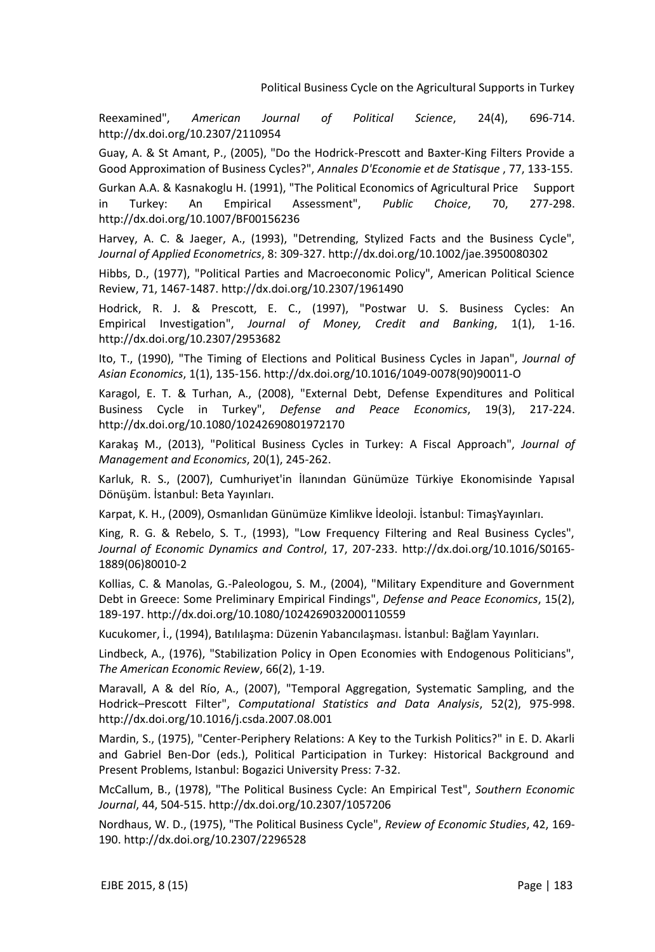Reexamined", *American Journal of Political Science*, 24(4), 696-714. http://dx.doi.org/10.2307/2110954

Guay, A. & St Amant, P., (2005), "Do the Hodrick-Prescott and Baxter-King Filters Provide a Good Approximation of Business Cycles?", *Annales D'Economie et de Statisque* , 77, 133-155.

Gurkan A.A. & Kasnakoglu H. (1991), "The Political Economics of Agricultural Price Support in Turkey: An Empirical Assessment", *Public Choice*, 70, 277-298. http://dx.doi.org/10.1007/BF00156236

Harvey, A. C. & Jaeger, A., (1993), "Detrending, Stylized Facts and the Business Cycle", *Journal of Applied Econometrics*, 8: 309-327. http://dx.doi.org/10.1002/jae.3950080302

Hibbs, D., (1977), "Political Parties and Macroeconomic Policy", American Political Science Review, 71, 1467-1487. http://dx.doi.org/10.2307/1961490

Hodrick, R. J. & Prescott, E. C., (1997), "Postwar U. S. Business Cycles: An Empirical Investigation", *Journal of Money, Credit and Banking*, 1(1), 1-16. http://dx.doi.org/10.2307/2953682

Ito, T., (1990), "The Timing of Elections and Political Business Cycles in Japan", *Journal of Asian Economics*, 1(1), 135-156. http://dx.doi.org/10.1016/1049-0078(90)90011-O

Karagol, E. T. & Turhan, A., (2008), "External Debt, Defense Expenditures and Political Business Cycle in Turkey", *Defense and Peace Economics*, 19(3), 217-224. http://dx.doi.org/10.1080/10242690801972170

Karakaş M., (2013), "Political Business Cycles in Turkey: A Fiscal Approach", *Journal of Management and Economics*, 20(1), 245-262.

Karluk, R. S., (2007), Cumhuriyet'in İlanından Günümüze Türkiye Ekonomisinde Yapısal Dönüşüm. İstanbul: Beta Yayınları.

Karpat, K. H., (2009), Osmanlıdan Günümüze Kimlikve İdeoloji. İstanbul: TimaşYayınları.

King, R. G. & Rebelo, S. T., (1993), "Low Frequency Filtering and Real Business Cycles", *Journal of Economic Dynamics and Control*, 17, 207-233. http://dx.doi.org/10.1016/S0165- 1889(06)80010-2

Kollias, C. & Manolas, G.-Paleologou, S. M., (2004), "Military Expenditure and Government Debt in Greece: Some Preliminary Empirical Findings", *Defense and Peace Economics*, 15(2), 189-197. http://dx.doi.org/10.1080/1024269032000110559

Kucukomer, İ., (1994), Batılılaşma: Düzenin Yabancılaşması. İstanbul: Bağlam Yayınları.

Lindbeck, A., (1976), "Stabilization Policy in Open Economies with Endogenous Politicians", *The American Economic Review*, 66(2), 1-19.

Maravall, A & del Río, A., (2007), "Temporal Aggregation, Systematic Sampling, and the Hodrick–Prescott Filter", *Computational Statistics and Data Analysis*, 52(2), 975-998. http://dx.doi.org/10.1016/j.csda.2007.08.001

Mardin, S., (1975), "Center-Periphery Relations: A Key to the Turkish Politics?" in E. D. Akarli and Gabriel Ben-Dor (eds.), Political Participation in Turkey: Historical Background and Present Problems, Istanbul: Bogazici University Press: 7-32.

McCallum, B., (1978), "The Political Business Cycle: An Empirical Test", *Southern Economic Journal*, 44, 504-515. http://dx.doi.org/10.2307/1057206

Nordhaus, W. D., (1975), "The Political Business Cycle", *Review of Economic Studies*, 42, 169- 190. http://dx.doi.org/10.2307/2296528